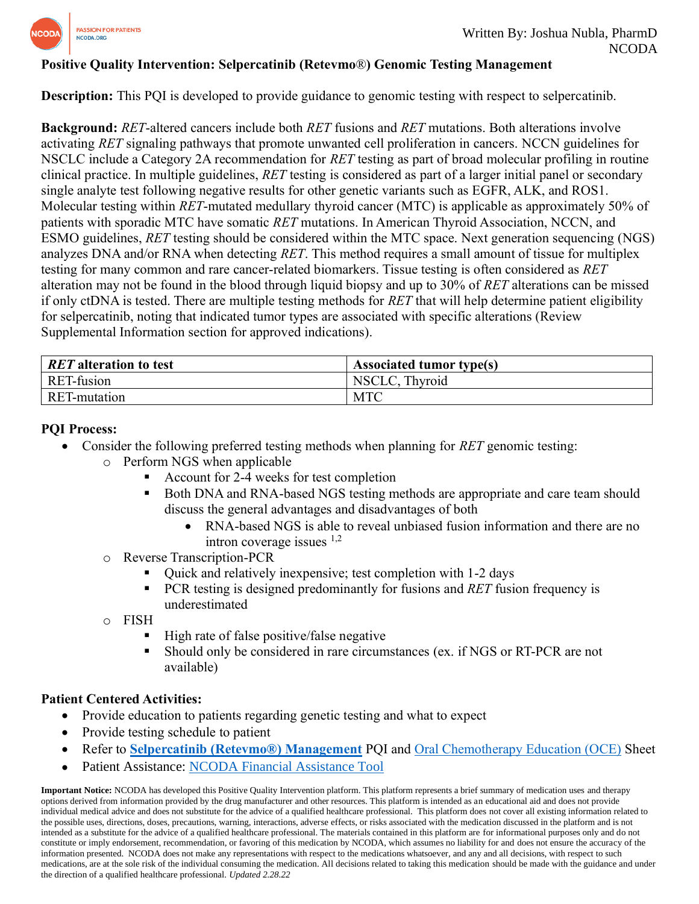

# **Positive Quality Intervention: Selpercatinib (Retevmo**®**) Genomic Testing Management**

**Description:** This PQI is developed to provide guidance to genomic testing with respect to selpercatinib.

**Background:** *RET*-altered cancers include both *RET* fusions and *RET* mutations. Both alterations involve activating *RET* signaling pathways that promote unwanted cell proliferation in cancers. NCCN guidelines for NSCLC include a Category 2A recommendation for *RET* testing as part of broad molecular profiling in routine clinical practice. In multiple guidelines, *RET* testing is considered as part of a larger initial panel or secondary single analyte test following negative results for other genetic variants such as EGFR, ALK, and ROS1. Molecular testing within *RET*-mutated medullary thyroid cancer (MTC) is applicable as approximately 50% of patients with sporadic MTC have somatic *RET* mutations. In American Thyroid Association, NCCN, and ESMO guidelines, *RET* testing should be considered within the MTC space. Next generation sequencing (NGS) analyzes DNA and/or RNA when detecting *RET*. This method requires a small amount of tissue for multiplex testing for many common and rare cancer-related biomarkers. Tissue testing is often considered as *RET* alteration may not be found in the blood through liquid biopsy and up to 30% of *RET* alterations can be missed if only ctDNA is tested. There are multiple testing methods for *RET* that will help determine patient eligibility for selpercatinib, noting that indicated tumor types are associated with specific alterations (Review Supplemental Information section for approved indications).

| RET alteration to test | <b>Associated tumor type(s)</b> |
|------------------------|---------------------------------|
| RET-fusion             | NSCLC, Thyroid                  |
| RET-mutation           | <b>MTC</b>                      |

## **PQI Process:**

- Consider the following preferred testing methods when planning for *RET* genomic testing:
	- o Perform NGS when applicable
		- Account for 2-4 weeks for test completion
		- Both DNA and RNA-based NGS testing methods are appropriate and care team should discuss the general advantages and disadvantages of both
			- RNA-based NGS is able to reveal unbiased fusion information and there are no intron coverage issues  $1,2$
	- o Reverse Transcription-PCR
		- Quick and relatively inexpensive; test completion with 1-2 days
		- PCR testing is designed predominantly for fusions and *RET* fusion frequency is underestimated
	- o FISH
		- High rate of false positive/false negative
		- Should only be considered in rare circumstances (ex. if NGS or RT-PCR are not available)

## **Patient Centered Activities:**

- Provide education to patients regarding genetic testing and what to expect
- Provide testing schedule to patient
- Refer to **[Selpercatinib \(Retevmo®\)](https://www.ncoda.org/wp-content/uploads/pqis/Selpercatinib-Retevmo-Management_PQI_NCODA.pdf) Management** PQI and [Oral Chemotherapy Education \(OCE\)](https://www.oralchemoedsheets.com/index.php/sheet-library/24-available/generic/464-selpercatinib) Sheet
- Patient Assistance: **NCODA Financial Assistance Tool**

**Important Notice:** NCODA has developed this Positive Quality Intervention platform. This platform represents a brief summary of medication uses and therapy options derived from information provided by the drug manufacturer and other resources. This platform is intended as an educational aid and does not provide individual medical advice and does not substitute for the advice of a qualified healthcare professional. This platform does not cover all existing information related to the possible uses, directions, doses, precautions, warning, interactions, adverse effects, or risks associated with the medication discussed in the platform and is not intended as a substitute for the advice of a qualified healthcare professional. The materials contained in this platform are for informational purposes only and do not constitute or imply endorsement, recommendation, or favoring of this medication by NCODA, which assumes no liability for and does not ensure the accuracy of the information presented. NCODA does not make any representations with respect to the medications whatsoever, and any and all decisions, with respect to such medications, are at the sole risk of the individual consuming the medication. All decisions related to taking this medication should be made with the guidance and under the direction of a qualified healthcare professional. *Updated 2.28.22*